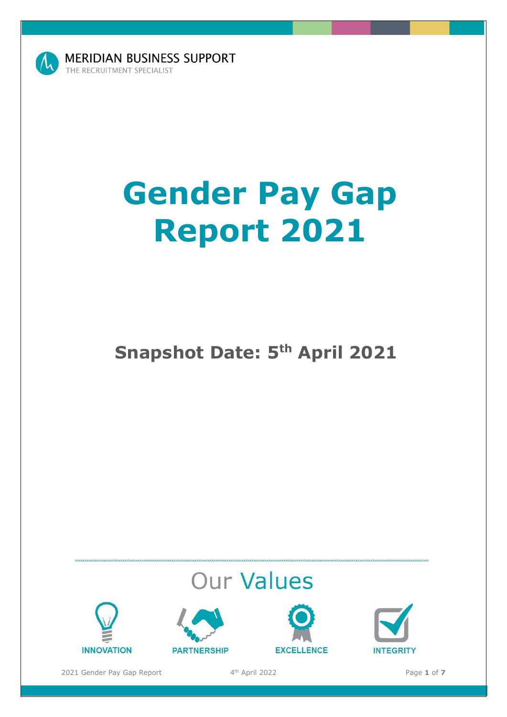

**MERIDIAN BUSINESS SUPPORT** THE RECRUITMENT SPECIALIST

# **Gender Pay Gap Report 2021**

# **Snapshot Date: 5<sup>th</sup> April 2021 Position: Chief Executive Officer**

# **Our Values**









2021 Gender Pay Gap Report

th April 2022 Page **1** of **7**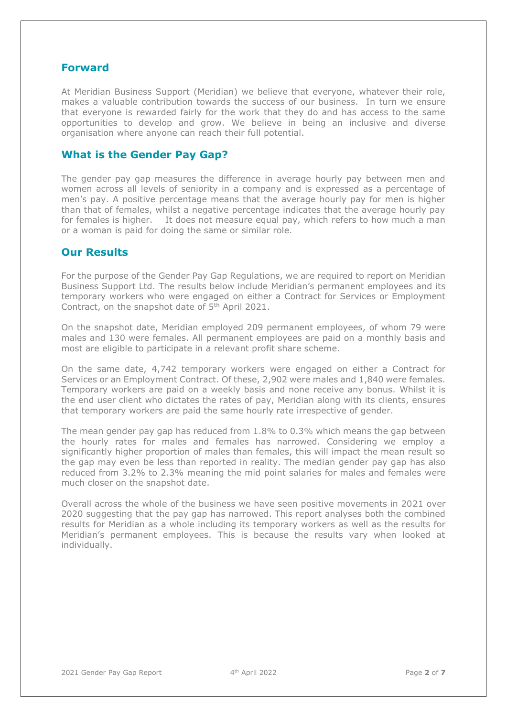# **Forward**

At Meridian Business Support (Meridian) we believe that everyone, whatever their role, makes a valuable contribution towards the success of our business. In turn we ensure that everyone is rewarded fairly for the work that they do and has access to the same opportunities to develop and grow. We believe in being an inclusive and diverse organisation where anyone can reach their full potential.

# **What is the Gender Pay Gap?**

The gender pay gap measures the difference in average hourly pay between men and women across all levels of seniority in a company and is expressed as a percentage of men's pay. A positive percentage means that the average hourly pay for men is higher than that of females, whilst a negative percentage indicates that the average hourly pay for females is higher. It does not measure equal pay, which refers to how much a man or a woman is paid for doing the same or similar role.

## **Our Results**

For the purpose of the Gender Pay Gap Regulations, we are required to report on Meridian Business Support Ltd. The results below include Meridian's permanent employees and its temporary workers who were engaged on either a Contract for Services or Employment Contract, on the snapshot date of 5<sup>th</sup> April 2021.

On the snapshot date, Meridian employed 209 permanent employees, of whom 79 were males and 130 were females. All permanent employees are paid on a monthly basis and most are eligible to participate in a relevant profit share scheme.

On the same date, 4,742 temporary workers were engaged on either a Contract for Services or an Employment Contract. Of these, 2,902 were males and 1,840 were females. Temporary workers are paid on a weekly basis and none receive any bonus. Whilst it is the end user client who dictates the rates of pay, Meridian along with its clients, ensures that temporary workers are paid the same hourly rate irrespective of gender.

The mean gender pay gap has reduced from 1.8% to 0.3% which means the gap between the hourly rates for males and females has narrowed. Considering we employ a significantly higher proportion of males than females, this will impact the mean result so the gap may even be less than reported in reality. The median gender pay gap has also reduced from 3.2% to 2.3% meaning the mid point salaries for males and females were much closer on the snapshot date.

Overall across the whole of the business we have seen positive movements in 2021 over 2020 suggesting that the pay gap has narrowed. This report analyses both the combined results for Meridian as a whole including its temporary workers as well as the results for Meridian's permanent employees. This is because the results vary when looked at individually.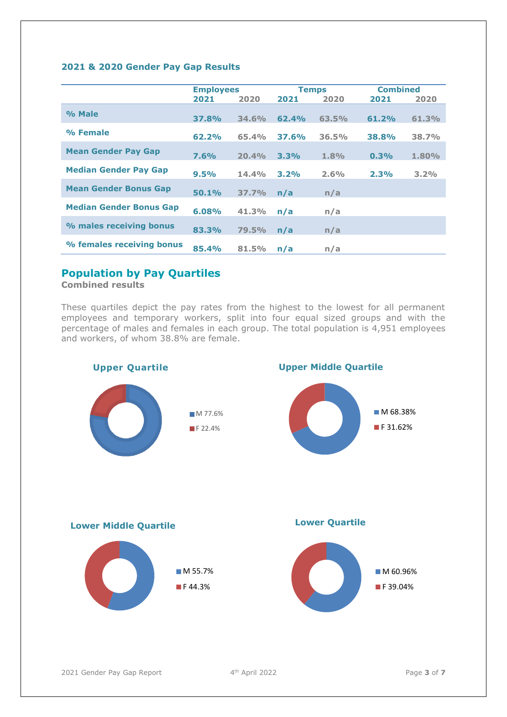#### **2021 & 2020 Gender Pay Gap Results**

|                                | <b>Employees</b> |       | <b>Temps</b> |       | <b>Combined</b> |       |
|--------------------------------|------------------|-------|--------------|-------|-----------------|-------|
|                                | 2021             | 2020  | 2021         | 2020  | 2021            | 2020  |
| % Male                         | <b>37.8%</b>     | 34.6% | 62.4%        | 63.5% | 61.2%           | 61.3% |
| % Female                       | 62.2%            | 65.4% | <b>37.6%</b> | 36.5% | 38.8%           | 38.7% |
| <b>Mean Gender Pay Gap</b>     | 7.6%             | 20.4% | 3.3%         | 1.8%  | 0.3%            | 1.80% |
| <b>Median Gender Pay Gap</b>   | 9.5%             | 14.4% | 3.2%         | 2.6%  | 2.3%            | 3.2%  |
| <b>Mean Gender Bonus Gap</b>   | 50.1%            | 37.7% | n/a          | n/a   |                 |       |
| <b>Median Gender Bonus Gap</b> | 6.08%            | 41.3% | n/a          | n/a   |                 |       |
| % males receiving bonus        | 83.3%            | 79.5% | n/a          | n/a   |                 |       |
| % females receiving bonus      | 85.4%            | 81.5% | n/a          | n/a   |                 |       |

# **Population by Pay Quartiles**

**Combined results**

These quartiles depict the pay rates from the highest to the lowest for all permanent employees and temporary workers, split into four equal sized groups and with the percentage of males and females in each group. The total population is 4,951 employees and workers, of whom 38.8% are female.

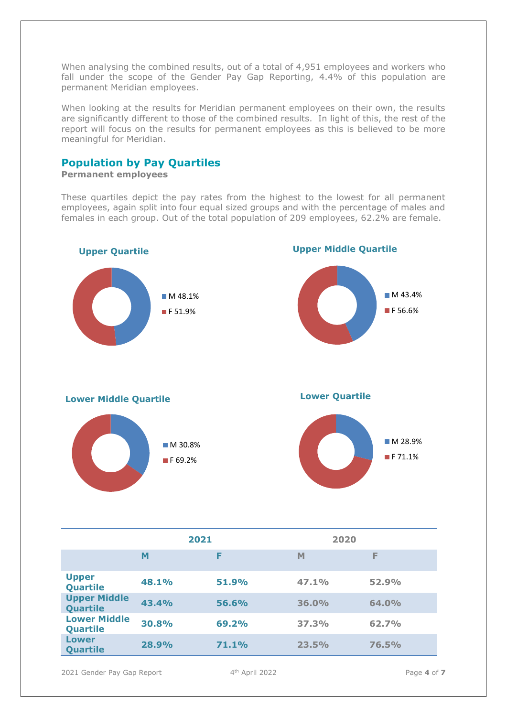When analysing the combined results, out of a total of 4,951 employees and workers who fall under the scope of the Gender Pay Gap Reporting, 4.4% of this population are permanent Meridian employees.

When looking at the results for Meridian permanent employees on their own, the results are significantly different to those of the combined results. In light of this, the rest of the report will focus on the results for permanent employees as this is believed to be more meaningful for Meridian.

# **Population by Pay Quartiles**

**Permanent employees** 

These quartiles depict the pay rates from the highest to the lowest for all permanent employees, again split into four equal sized groups and with the percentage of males and females in each group. Out of the total population of 209 employees, 62.2% are female.



|                                 | 2021  |       | 2020  |       |  |
|---------------------------------|-------|-------|-------|-------|--|
|                                 | M     | F     | M     | F     |  |
| <b>Upper</b><br><b>Quartile</b> | 48.1% | 51.9% | 47.1% | 52.9% |  |
| <b>Upper Middle</b><br>Quartile | 43.4% | 56.6% | 36.0% | 64.0% |  |
| <b>Lower Middle</b><br>Quartile | 30.8% | 69.2% | 37.3% | 62.7% |  |
| Lower<br>Quartile               | 28.9% | 71.1% | 23.5% | 76.5% |  |

2021 Gender Pay Gap Report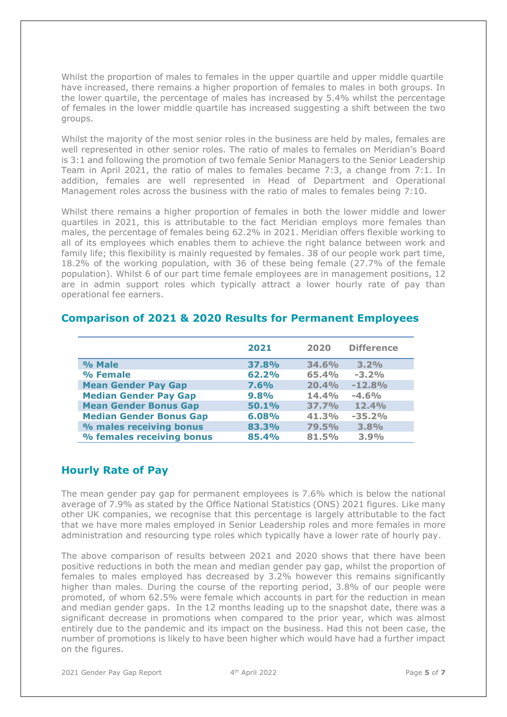Whilst the proportion of males to females in the upper quartile and upper middle quartile have increased, there remains a higher proportion of females to males in both groups. In the lower quartile, the percentage of males has increased by 5.4% whilst the percentage of females in the lower middle quartile has increased suggesting a shift between the two groups.

Whilst the majority of the most senior roles in the business are held by males, females are well represented in other senior roles. The ratio of males to females on Meridian's Board is 3:1 and following the promotion of two female Senior Managers to the Senior Leadership Team in April 2021, the ratio of males to females became 7:3, a change from 7:1. In addition, females are well represented in Head of Department and Operational Management roles across the business with the ratio of males to females being 7:10.

Whilst there remains a higher proportion of females in both the lower middle and lower quartiles in 2021, this is attributable to the fact Meridian employs more females than males, the percentage of females being 62.2% in 2021. Meridian offers flexible working to all of its employees which enables them to achieve the right balance between work and family life; this flexibility is mainly requested by females. 38 of our people work part time, 18.2% of the working population, with 36 of these being female (27.7% of the female population). Whilst 6 of our part time female employees are in management positions, 12 are in admin support roles which typically attract a lower hourly rate of pay than operational fee earners.

|                                | 2021  | 2020  | <b>Difference</b> |
|--------------------------------|-------|-------|-------------------|
| % Male                         | 37.8% | 34.6% | 3.2%              |
| % Female                       | 62.2% | 65.4% | $-3.2%$           |
| <b>Mean Gender Pay Gap</b>     | 7.6%  | 20.4% | $-12.8%$          |
| <b>Median Gender Pay Gap</b>   | 9.8%  | 14.4% | $-4.6%$           |
| <b>Mean Gender Bonus Gap</b>   | 50.1% | 37.7% | 12.4%             |
| <b>Median Gender Bonus Gap</b> | 6.08% | 41.3% | $-35.2%$          |
| % males receiving bonus        | 83.3% | 79.5% | 3.8%              |
| % females receiving bonus      | 85.4% | 81.5% | 3.9%              |

# **Comparison of 2021 & 2020 Results for Permanent Employees**

# **Hourly Rate of Pay**

The mean gender pay gap for permanent employees is 7.6% which is below the national average of 7.9% as stated by the Office National Statistics (ONS) 2021 figures. Like many other UK companies, we recognise that this percentage is largely attributable to the fact that we have more males employed in Senior Leadership roles and more females in more administration and resourcing type roles which typically have a lower rate of hourly pay.

The above comparison of results between 2021 and 2020 shows that there have been positive reductions in both the mean and median gender pay gap, whilst the proportion of females to males employed has decreased by 3.2% however this remains significantly higher than males. During the course of the reporting period, 3.8% of our people were promoted, of whom 62.5% were female which accounts in part for the reduction in mean and median gender gaps. In the 12 months leading up to the snapshot date, there was a significant decrease in promotions when compared to the prior year, which was almost entirely due to the pandemic and its impact on the business. Had this not been case, the number of promotions is likely to have been higher which would have had a further impact on the figures.

2021 Gender Pay Gap Report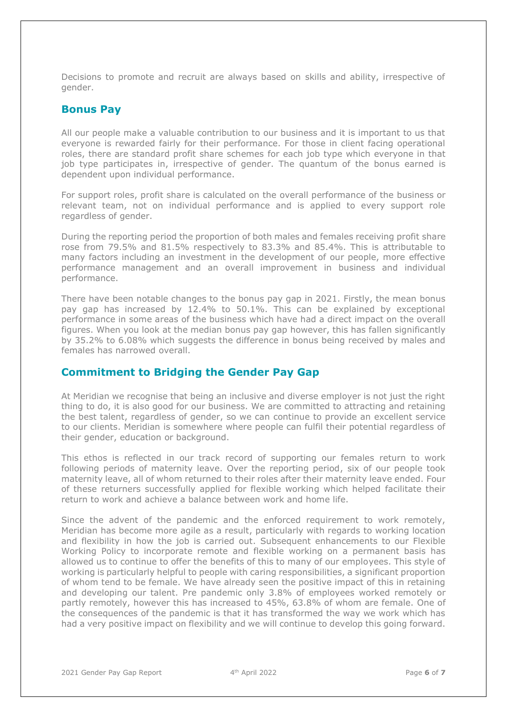Decisions to promote and recruit are always based on skills and ability, irrespective of gender.

## **Bonus Pay**

All our people make a valuable contribution to our business and it is important to us that everyone is rewarded fairly for their performance. For those in client facing operational roles, there are standard profit share schemes for each job type which everyone in that job type participates in, irrespective of gender. The quantum of the bonus earned is dependent upon individual performance.

For support roles, profit share is calculated on the overall performance of the business or relevant team, not on individual performance and is applied to every support role regardless of gender.

During the reporting period the proportion of both males and females receiving profit share rose from 79.5% and 81.5% respectively to 83.3% and 85.4%. This is attributable to many factors including an investment in the development of our people, more effective performance management and an overall improvement in business and individual performance.

There have been notable changes to the bonus pay gap in 2021. Firstly, the mean bonus pay gap has increased by 12.4% to 50.1%. This can be explained by exceptional performance in some areas of the business which have had a direct impact on the overall figures. When you look at the median bonus pay gap however, this has fallen significantly by 35.2% to 6.08% which suggests the difference in bonus being received by males and females has narrowed overall.

# **Commitment to Bridging the Gender Pay Gap**

At Meridian we recognise that being an inclusive and diverse employer is not just the right thing to do, it is also good for our business. We are committed to attracting and retaining the best talent, regardless of gender, so we can continue to provide an excellent service to our clients. Meridian is somewhere where people can fulfil their potential regardless of their gender, education or background.

This ethos is reflected in our track record of supporting our females return to work following periods of maternity leave. Over the reporting period, six of our people took maternity leave, all of whom returned to their roles after their maternity leave ended. Four of these returners successfully applied for flexible working which helped facilitate their return to work and achieve a balance between work and home life.

Since the advent of the pandemic and the enforced requirement to work remotely, Meridian has become more agile as a result, particularly with regards to working location and flexibility in how the job is carried out. Subsequent enhancements to our Flexible Working Policy to incorporate remote and flexible working on a permanent basis has allowed us to continue to offer the benefits of this to many of our employees. This style of working is particularly helpful to people with caring responsibilities, a significant proportion of whom tend to be female. We have already seen the positive impact of this in retaining and developing our talent. Pre pandemic only 3.8% of employees worked remotely or partly remotely, however this has increased to 45%, 63.8% of whom are female. One of the consequences of the pandemic is that it has transformed the way we work which has had a very positive impact on flexibility and we will continue to develop this going forward.